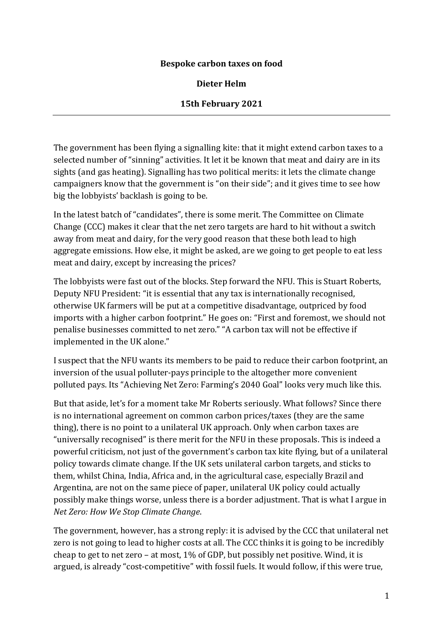#### **Bespoke carbon taxes on food**

#### **Dieter Helm**

#### **15th February 2021**

The government has been flying a signalling kite: that it might extend carbon taxes to a selected number of "sinning" activities. It let it be known that meat and dairy are in its sights (and gas heating). Signalling has two political merits: it lets the climate change campaigners know that the government is "on their side"; and it gives time to see how big the lobbyists' backlash is going to be.

In the latest batch of "candidates", there is some merit. The Committee on Climate Change (CCC) makes it clear that the net zero targets are hard to hit without a switch away from meat and dairy, for the very good reason that these both lead to high aggregate emissions. How else, it might be asked, are we going to get people to eat less meat and dairy, except by increasing the prices?

The lobbyists were fast out of the blocks. Step forward the NFU. This is Stuart Roberts, Deputy NFU President: "it is essential that any tax is internationally recognised, otherwise UK farmers will be put at a competitive disadvantage, outpriced by food imports with a higher carbon footprint." He goes on: "First and foremost, we should not penalise businesses committed to net zero." "A carbon tax will not be effective if implemented in the UK alone."

I suspect that the NFU wants its members to be paid to reduce their carbon footprint, an inversion of the usual polluter-pays principle to the altogether more convenient polluted pays. Its "Achieving Net Zero: Farming's 2040 Goal" looks very much like this.

But that aside, let's for a moment take Mr Roberts seriously. What follows? Since there is no international agreement on common carbon prices/taxes (they are the same thing), there is no point to a unilateral UK approach. Only when carbon taxes are "universally recognised" is there merit for the NFU in these proposals. This is indeed a powerful criticism, not just of the government's carbon tax kite flying, but of a unilateral policy towards climate change. If the UK sets unilateral carbon targets, and sticks to them, whilst China, India, Africa and, in the agricultural case, especially Brazil and Argentina, are not on the same piece of paper, unilateral UK policy could actually possibly make things worse, unless there is a border adjustment. That is what I argue in *Net Zero: How We Stop Climate Change*.

The government, however, has a strong reply: it is advised by the CCC that unilateral net zero is not going to lead to higher costs at all. The CCC thinks it is going to be incredibly cheap to get to net zero – at most, 1% of GDP, but possibly net positive. Wind, it is argued, is already "cost-competitive" with fossil fuels. It would follow, if this were true,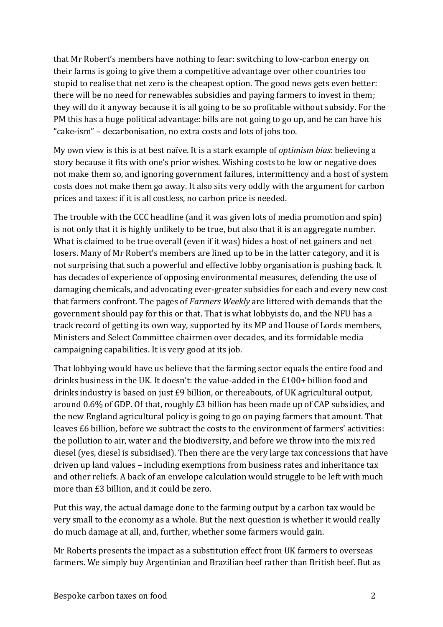that Mr Robert's members have nothing to fear: switching to low-carbon energy on their farms is going to give them a competitive advantage over other countries too stupid to realise that net zero is the cheapest option. The good news gets even better: there will be no need for renewables subsidies and paying farmers to invest in them; they will do it anyway because it is all going to be so profitable without subsidy. For the PM this has a huge political advantage: bills are not going to go up, and he can have his "cake-ism" – decarbonisation, no extra costs and lots of jobs too.

My own view is this is at best naïve. It is a stark example of *optimism bias*: believing a story because it fits with one's prior wishes. Wishing costs to be low or negative does not make them so, and ignoring government failures, intermittency and a host of system costs does not make them go away. It also sits very oddly with the argument for carbon prices and taxes: if it is all costless, no carbon price is needed.

The trouble with the CCC headline (and it was given lots of media promotion and spin) is not only that it is highly unlikely to be true, but also that it is an aggregate number. What is claimed to be true overall (even if it was) hides a host of net gainers and net losers. Many of Mr Robert's members are lined up to be in the latter category, and it is not surprising that such a powerful and effective lobby organisation is pushing back. It has decades of experience of opposing environmental measures, defending the use of damaging chemicals, and advocating ever-greater subsidies for each and every new cost that farmers confront. The pages of *Farmers Weekly* are littered with demands that the government should pay for this or that. That is what lobbyists do, and the NFU has a track record of getting its own way, supported by its MP and House of Lords members, Ministers and Select Committee chairmen over decades, and its formidable media campaigning capabilities. It is very good at its job.

That lobbying would have us believe that the farming sector equals the entire food and drinks business in the UK. It doesn't: the value-added in the £100+ billion food and drinks industry is based on just £9 billion, or thereabouts, of UK agricultural output, around 0.6% of GDP. Of that, roughly £3 billion has been made up of CAP subsidies, and the new England agricultural policy is going to go on paying farmers that amount. That leaves £6 billion, before we subtract the costs to the environment of farmers' activities: the pollution to air, water and the biodiversity, and before we throw into the mix red diesel (yes, diesel is subsidised). Then there are the very large tax concessions that have driven up land values – including exemptions from business rates and inheritance tax and other reliefs. A back of an envelope calculation would struggle to be left with much more than £3 billion, and it could be zero.

Put this way, the actual damage done to the farming output by a carbon tax would be very small to the economy as a whole. But the next question is whether it would really do much damage at all, and, further, whether some farmers would gain.

Mr Roberts presents the impact as a substitution effect from UK farmers to overseas farmers. We simply buy Argentinian and Brazilian beef rather than British beef. But as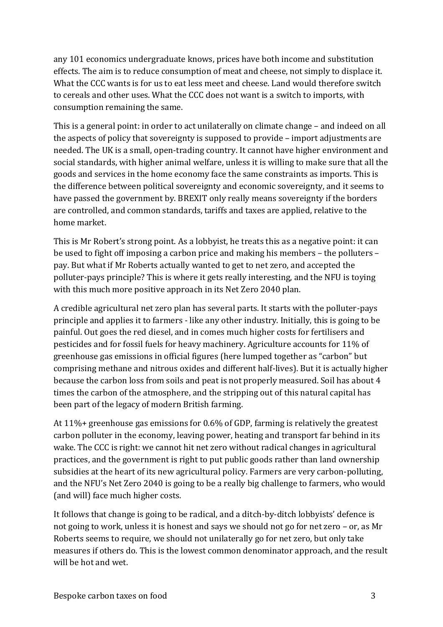any 101 economics undergraduate knows, prices have both income and substitution effects. The aim is to reduce consumption of meat and cheese, not simply to displace it. What the CCC wants is for us to eat less meet and cheese. Land would therefore switch to cereals and other uses. What the CCC does not want is a switch to imports, with consumption remaining the same.

This is a general point: in order to act unilaterally on climate change – and indeed on all the aspects of policy that sovereignty is supposed to provide – import adjustments are needed. The UK is a small, open-trading country. It cannot have higher environment and social standards, with higher animal welfare, unless it is willing to make sure that all the goods and services in the home economy face the same constraints as imports. This is the difference between political sovereignty and economic sovereignty, and it seems to have passed the government by. BREXIT only really means sovereignty if the borders are controlled, and common standards, tariffs and taxes are applied, relative to the home market.

This is Mr Robert's strong point. As a lobbyist, he treats this as a negative point: it can be used to fight off imposing a carbon price and making his members – the polluters – pay. But what if Mr Roberts actually wanted to get to net zero, and accepted the polluter-pays principle? This is where it gets really interesting, and the NFU is toying with this much more positive approach in its Net Zero 2040 plan.

A credible agricultural net zero plan has several parts. It starts with the polluter-pays principle and applies it to farmers - like any other industry. Initially, this is going to be painful. Out goes the red diesel, and in comes much higher costs for fertilisers and pesticides and for fossil fuels for heavy machinery. Agriculture accounts for 11% of greenhouse gas emissions in official figures (here lumped together as "carbon" but comprising methane and nitrous oxides and different half-lives). But it is actually higher because the carbon loss from soils and peat is not properly measured. Soil has about 4 times the carbon of the atmosphere, and the stripping out of this natural capital has been part of the legacy of modern British farming.

At 11%+ greenhouse gas emissions for 0.6% of GDP, farming is relatively the greatest carbon polluter in the economy, leaving power, heating and transport far behind in its wake. The CCC is right: we cannot hit net zero without radical changes in agricultural practices, and the government is right to put public goods rather than land ownership subsidies at the heart of its new agricultural policy. Farmers are very carbon-polluting, and the NFU's Net Zero 2040 is going to be a really big challenge to farmers, who would (and will) face much higher costs.

It follows that change is going to be radical, and a ditch-by-ditch lobbyists' defence is not going to work, unless it is honest and says we should not go for net zero – or, as Mr Roberts seems to require, we should not unilaterally go for net zero, but only take measures if others do. This is the lowest common denominator approach, and the result will be hot and wet.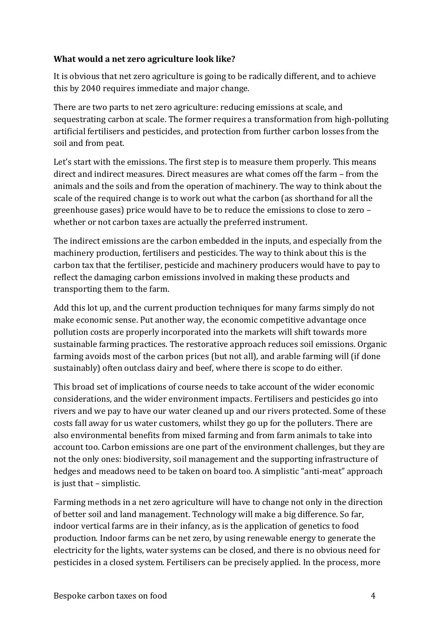### **What would a net zero agriculture look like?**

It is obvious that net zero agriculture is going to be radically different, and to achieve this by 2040 requires immediate and major change.

There are two parts to net zero agriculture: reducing emissions at scale, and sequestrating carbon at scale. The former requires a transformation from high-polluting artificial fertilisers and pesticides, and protection from further carbon losses from the soil and from peat.

Let's start with the emissions. The first step is to measure them properly. This means direct and indirect measures. Direct measures are what comes off the farm – from the animals and the soils and from the operation of machinery. The way to think about the scale of the required change is to work out what the carbon (as shorthand for all the greenhouse gases) price would have to be to reduce the emissions to close to zero – whether or not carbon taxes are actually the preferred instrument.

The indirect emissions are the carbon embedded in the inputs, and especially from the machinery production, fertilisers and pesticides. The way to think about this is the carbon tax that the fertiliser, pesticide and machinery producers would have to pay to reflect the damaging carbon emissions involved in making these products and transporting them to the farm.

Add this lot up, and the current production techniques for many farms simply do not make economic sense. Put another way, the economic competitive advantage once pollution costs are properly incorporated into the markets will shift towards more sustainable farming practices. The restorative approach reduces soil emissions. Organic farming avoids most of the carbon prices (but not all), and arable farming will (if done sustainably) often outclass dairy and beef, where there is scope to do either.

This broad set of implications of course needs to take account of the wider economic considerations, and the wider environment impacts. Fertilisers and pesticides go into rivers and we pay to have our water cleaned up and our rivers protected. Some of these costs fall away for us water customers, whilst they go up for the polluters. There are also environmental benefits from mixed farming and from farm animals to take into account too. Carbon emissions are one part of the environment challenges, but they are not the only ones: biodiversity, soil management and the supporting infrastructure of hedges and meadows need to be taken on board too. A simplistic "anti-meat" approach is just that – simplistic.

Farming methods in a net zero agriculture will have to change not only in the direction of better soil and land management. Technology will make a big difference. So far, indoor vertical farms are in their infancy, as is the application of genetics to food production. Indoor farms can be net zero, by using renewable energy to generate the electricity for the lights, water systems can be closed, and there is no obvious need for pesticides in a closed system. Fertilisers can be precisely applied. In the process, more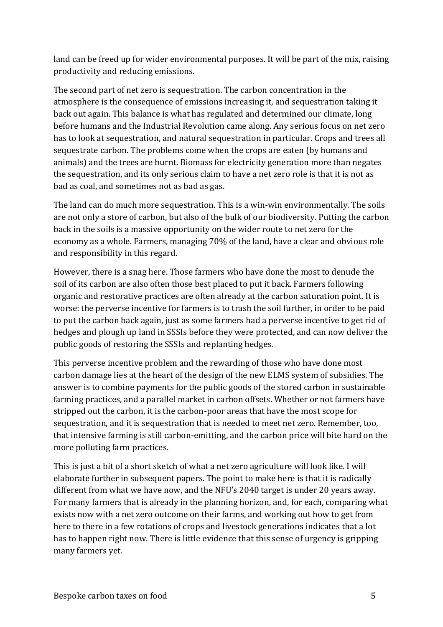land can be freed up for wider environmental purposes. It will be part of the mix, raising productivity and reducing emissions.

The second part of net zero is sequestration. The carbon concentration in the atmosphere is the consequence of emissions increasing it, and sequestration taking it back out again. This balance is what has regulated and determined our climate, long before humans and the Industrial Revolution came along. Any serious focus on net zero has to look at sequestration, and natural sequestration in particular. Crops and trees all sequestrate carbon. The problems come when the crops are eaten (by humans and animals) and the trees are burnt. Biomass for electricity generation more than negates the sequestration, and its only serious claim to have a net zero role is that it is not as bad as coal, and sometimes not as bad as gas.

The land can do much more sequestration. This is a win-win environmentally. The soils are not only a store of carbon, but also of the bulk of our biodiversity. Putting the carbon back in the soils is a massive opportunity on the wider route to net zero for the economy as a whole. Farmers, managing 70% of the land, have a clear and obvious role and responsibility in this regard.

However, there is a snag here. Those farmers who have done the most to denude the soil of its carbon are also often those best placed to put it back. Farmers following organic and restorative practices are often already at the carbon saturation point. It is worse: the perverse incentive for farmers is to trash the soil further, in order to be paid to put the carbon back again, just as some farmers had a perverse incentive to get rid of hedges and plough up land in SSSIs before they were protected, and can now deliver the public goods of restoring the SSSIs and replanting hedges.

This perverse incentive problem and the rewarding of those who have done most carbon damage lies at the heart of the design of the new ELMS system of subsidies. The answer is to combine payments for the public goods of the stored carbon in sustainable farming practices, and a parallel market in carbon offsets. Whether or not farmers have stripped out the carbon, it is the carbon-poor areas that have the most scope for sequestration, and it is sequestration that is needed to meet net zero. Remember, too, that intensive farming is still carbon-emitting, and the carbon price will bite hard on the more polluting farm practices.

This is just a bit of a short sketch of what a net zero agriculture will look like. I will elaborate further in subsequent papers. The point to make here is that it is radically different from what we have now, and the NFU's 2040 target is under 20 years away. For many farmers that is already in the planning horizon, and, for each, comparing what exists now with a net zero outcome on their farms, and working out how to get from here to there in a few rotations of crops and livestock generations indicates that a lot has to happen right now. There is little evidence that this sense of urgency is gripping many farmers yet.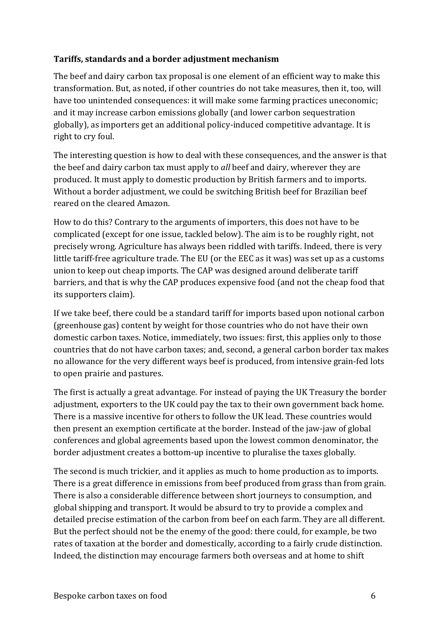## **Tariffs, standards and a border adjustment mechanism**

The beef and dairy carbon tax proposal is one element of an efficient way to make this transformation. But, as noted, if other countries do not take measures, then it, too, will have too unintended consequences: it will make some farming practices uneconomic; and it may increase carbon emissions globally (and lower carbon sequestration globally), as importers get an additional policy-induced competitive advantage. It is right to cry foul.

The interesting question is how to deal with these consequences, and the answer is that the beef and dairy carbon tax must apply to *all* beef and dairy, wherever they are produced. It must apply to domestic production by British farmers and to imports. Without a border adjustment, we could be switching British beef for Brazilian beef reared on the cleared Amazon.

How to do this? Contrary to the arguments of importers, this does not have to be complicated (except for one issue, tackled below). The aim is to be roughly right, not precisely wrong. Agriculture has always been riddled with tariffs. Indeed, there is very little tariff-free agriculture trade. The EU (or the EEC as it was) was set up as a customs union to keep out cheap imports. The CAP was designed around deliberate tariff barriers, and that is why the CAP produces expensive food (and not the cheap food that its supporters claim).

If we take beef, there could be a standard tariff for imports based upon notional carbon (greenhouse gas) content by weight for those countries who do not have their own domestic carbon taxes. Notice, immediately, two issues: first, this applies only to those countries that do not have carbon taxes; and, second, a general carbon border tax makes no allowance for the very different ways beef is produced, from intensive grain-fed lots to open prairie and pastures.

The first is actually a great advantage. For instead of paying the UK Treasury the border adjustment, exporters to the UK could pay the tax to their own government back home. There is a massive incentive for others to follow the UK lead. These countries would then present an exemption certificate at the border. Instead of the jaw-jaw of global conferences and global agreements based upon the lowest common denominator, the border adjustment creates a bottom-up incentive to pluralise the taxes globally.

The second is much trickier, and it applies as much to home production as to imports. There is a great difference in emissions from beef produced from grass than from grain. There is also a considerable difference between short journeys to consumption, and global shipping and transport. It would be absurd to try to provide a complex and detailed precise estimation of the carbon from beef on each farm. They are all different. But the perfect should not be the enemy of the good: there could, for example, be two rates of taxation at the border and domestically, according to a fairly crude distinction. Indeed, the distinction may encourage farmers both overseas and at home to shift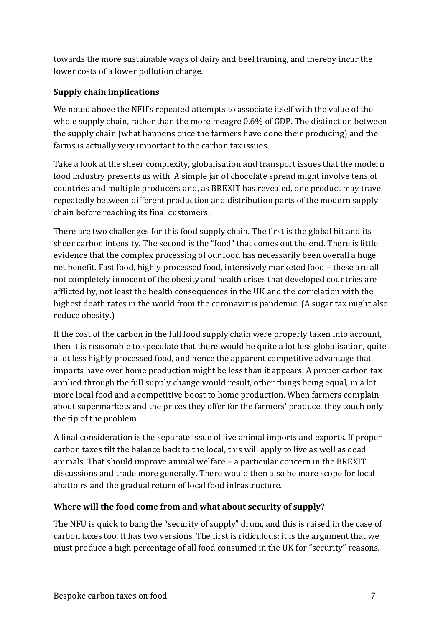towards the more sustainable ways of dairy and beef framing, and thereby incur the lower costs of a lower pollution charge.

# **Supply chain implications**

We noted above the NFU's repeated attempts to associate itself with the value of the whole supply chain, rather than the more meagre 0.6% of GDP. The distinction between the supply chain (what happens once the farmers have done their producing) and the farms is actually very important to the carbon tax issues.

Take a look at the sheer complexity, globalisation and transport issues that the modern food industry presents us with. A simple jar of chocolate spread might involve tens of countries and multiple producers and, as BREXIT has revealed, one product may travel repeatedly between different production and distribution parts of the modern supply chain before reaching its final customers.

There are two challenges for this food supply chain. The first is the global bit and its sheer carbon intensity. The second is the "food" that comes out the end. There is little evidence that the complex processing of our food has necessarily been overall a huge net benefit. Fast food, highly processed food, intensively marketed food – these are all not completely innocent of the obesity and health crises that developed countries are afflicted by, not least the health consequences in the UK and the correlation with the highest death rates in the world from the coronavirus pandemic. (A sugar tax might also reduce obesity.)

If the cost of the carbon in the full food supply chain were properly taken into account, then it is reasonable to speculate that there would be quite a lot less globalisation, quite a lot less highly processed food, and hence the apparent competitive advantage that imports have over home production might be less than it appears. A proper carbon tax applied through the full supply change would result, other things being equal, in a lot more local food and a competitive boost to home production. When farmers complain about supermarkets and the prices they offer for the farmers' produce, they touch only the tip of the problem.

A final consideration is the separate issue of live animal imports and exports. If proper carbon taxes tilt the balance back to the local, this will apply to live as well as dead animals. That should improve animal welfare – a particular concern in the BREXIT discussions and trade more generally. There would then also be more scope for local abattoirs and the gradual return of local food infrastructure.

## **Where will the food come from and what about security of supply?**

The NFU is quick to bang the "security of supply" drum, and this is raised in the case of carbon taxes too. It has two versions. The first is ridiculous: it is the argument that we must produce a high percentage of all food consumed in the UK for "security" reasons.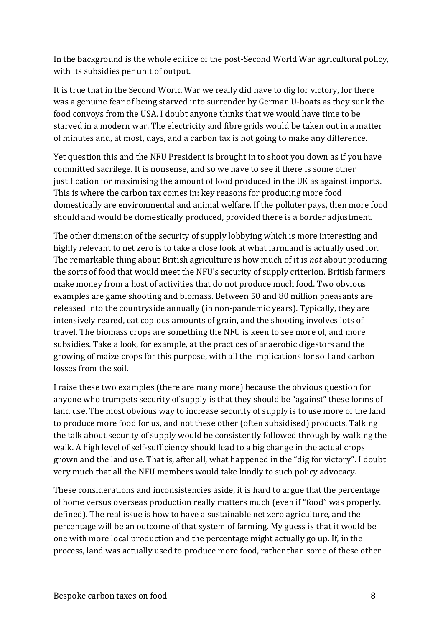In the background is the whole edifice of the post-Second World War agricultural policy, with its subsidies per unit of output.

It is true that in the Second World War we really did have to dig for victory, for there was a genuine fear of being starved into surrender by German U-boats as they sunk the food convoys from the USA. I doubt anyone thinks that we would have time to be starved in a modern war. The electricity and fibre grids would be taken out in a matter of minutes and, at most, days, and a carbon tax is not going to make any difference.

Yet question this and the NFU President is brought in to shoot you down as if you have committed sacrilege. It is nonsense, and so we have to see if there is some other justification for maximising the amount of food produced in the UK as against imports. This is where the carbon tax comes in: key reasons for producing more food domestically are environmental and animal welfare. If the polluter pays, then more food should and would be domestically produced, provided there is a border adjustment.

The other dimension of the security of supply lobbying which is more interesting and highly relevant to net zero is to take a close look at what farmland is actually used for. The remarkable thing about British agriculture is how much of it is *not* about producing the sorts of food that would meet the NFU's security of supply criterion. British farmers make money from a host of activities that do not produce much food. Two obvious examples are game shooting and biomass. Between 50 and 80 million pheasants are released into the countryside annually (in non-pandemic years). Typically, they are intensively reared, eat copious amounts of grain, and the shooting involves lots of travel. The biomass crops are something the NFU is keen to see more of, and more subsidies. Take a look, for example, at the practices of anaerobic digestors and the growing of maize crops for this purpose, with all the implications for soil and carbon losses from the soil.

I raise these two examples (there are many more) because the obvious question for anyone who trumpets security of supply is that they should be "against" these forms of land use. The most obvious way to increase security of supply is to use more of the land to produce more food for us, and not these other (often subsidised) products. Talking the talk about security of supply would be consistently followed through by walking the walk. A high level of self-sufficiency should lead to a big change in the actual crops grown and the land use. That is, after all, what happened in the "dig for victory". I doubt very much that all the NFU members would take kindly to such policy advocacy.

These considerations and inconsistencies aside, it is hard to argue that the percentage of home versus overseas production really matters much (even if "food" was properly. defined). The real issue is how to have a sustainable net zero agriculture, and the percentage will be an outcome of that system of farming. My guess is that it would be one with more local production and the percentage might actually go up. If, in the process, land was actually used to produce more food, rather than some of these other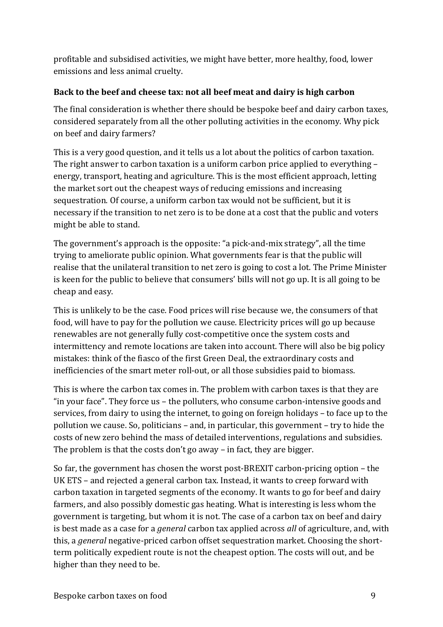profitable and subsidised activities, we might have better, more healthy, food, lower emissions and less animal cruelty.

## **Back to the beef and cheese tax: not all beef meat and dairy is high carbon**

The final consideration is whether there should be bespoke beef and dairy carbon taxes, considered separately from all the other polluting activities in the economy. Why pick on beef and dairy farmers?

This is a very good question, and it tells us a lot about the politics of carbon taxation. The right answer to carbon taxation is a uniform carbon price applied to everything – energy, transport, heating and agriculture. This is the most efficient approach, letting the market sort out the cheapest ways of reducing emissions and increasing sequestration. Of course, a uniform carbon tax would not be sufficient, but it is necessary if the transition to net zero is to be done at a cost that the public and voters might be able to stand.

The government's approach is the opposite: "a pick-and-mix strategy", all the time trying to ameliorate public opinion. What governments fear is that the public will realise that the unilateral transition to net zero is going to cost a lot. The Prime Minister is keen for the public to believe that consumers' bills will not go up. It is all going to be cheap and easy.

This is unlikely to be the case. Food prices will rise because we, the consumers of that food, will have to pay for the pollution we cause. Electricity prices will go up because renewables are not generally fully cost-competitive once the system costs and intermittency and remote locations are taken into account. There will also be big policy mistakes: think of the fiasco of the first Green Deal, the extraordinary costs and inefficiencies of the smart meter roll-out, or all those subsidies paid to biomass.

This is where the carbon tax comes in. The problem with carbon taxes is that they are "in your face". They force us – the polluters, who consume carbon-intensive goods and services, from dairy to using the internet, to going on foreign holidays – to face up to the pollution we cause. So, politicians – and, in particular, this government – try to hide the costs of new zero behind the mass of detailed interventions, regulations and subsidies. The problem is that the costs don't go away – in fact, they are bigger.

So far, the government has chosen the worst post-BREXIT carbon-pricing option – the UK ETS – and rejected a general carbon tax. Instead, it wants to creep forward with carbon taxation in targeted segments of the economy. It wants to go for beef and dairy farmers, and also possibly domestic gas heating. What is interesting is less whom the government is targeting, but whom it is not. The case of a carbon tax on beef and dairy is best made as a case for a *general* carbon tax applied across *all* of agriculture, and, with this, a *general* negative-priced carbon offset sequestration market. Choosing the shortterm politically expedient route is not the cheapest option. The costs will out, and be higher than they need to be.